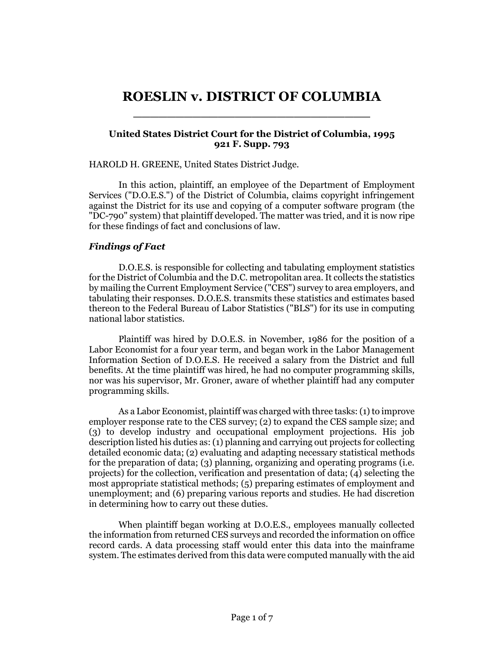# **ROESLIN v. DISTRICT OF COLUMBIA** \_\_\_\_\_\_\_\_\_\_\_\_\_\_\_\_\_\_\_\_\_\_\_\_\_\_\_\_

## **United States District Court for the District of Columbia, 1995 921 F. Supp. 793**

HAROLD H. GREENE, United States District Judge.

In this action, plaintiff, an employee of the Department of Employment Services ("D.O.E.S.") of the District of Columbia, claims copyright infringement against the District for its use and copying of a computer software program (the "DC-790" system) that plaintiff developed. The matter was tried, and it is now ripe for these findings of fact and conclusions of law.

### *Findings of Fact*

D.O.E.S. is responsible for collecting and tabulating employment statistics for the District of Columbia and the D.C. metropolitan area. It collects the statistics by mailing the Current Employment Service ("CES") survey to area employers, and tabulating their responses. D.O.E.S. transmits these statistics and estimates based thereon to the Federal Bureau of Labor Statistics ("BLS") for its use in computing national labor statistics.

Plaintiff was hired by D.O.E.S. in November, 1986 for the position of a Labor Economist for a four year term, and began work in the Labor Management Information Section of D.O.E.S. He received a salary from the District and full benefits. At the time plaintiff was hired, he had no computer programming skills, nor was his supervisor, Mr. Groner, aware of whether plaintiff had any computer programming skills.

As a Labor Economist, plaintiff was charged with three tasks: (1) to improve employer response rate to the CES survey; (2) to expand the CES sample size; and (3) to develop industry and occupational employment projections. His job description listed his duties as: (1) planning and carrying out projects for collecting detailed economic data; (2) evaluating and adapting necessary statistical methods for the preparation of data; (3) planning, organizing and operating programs (i.e. projects) for the collection, verification and presentation of data; (4) selecting the most appropriate statistical methods; (5) preparing estimates of employment and unemployment; and (6) preparing various reports and studies. He had discretion in determining how to carry out these duties.

When plaintiff began working at D.O.E.S., employees manually collected the information from returned CES surveys and recorded the information on office record cards. A data processing staff would enter this data into the mainframe system. The estimates derived from this data were computed manually with the aid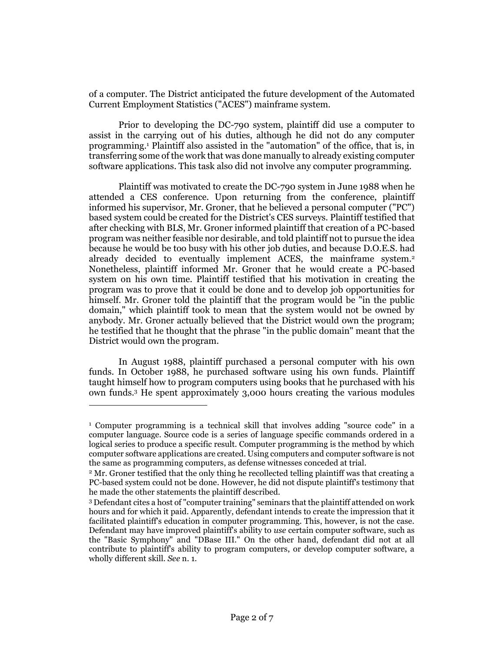of a computer. The District anticipated the future development of the Automated Current Employment Statistics ("ACES") mainframe system.

Prior to developing the DC-790 system, plaintiff did use a computer to assist in the carrying out of his duties, although he did not do any computer programming.<sup>1</sup> Plaintiff also assisted in the "automation" of the office, that is, in transferring some of the work that was done manually to already existing computer software applications. This task also did not involve any computer programming.

Plaintiff was motivated to create the DC-790 system in June 1988 when he attended a CES conference. Upon returning from the conference, plaintiff informed his supervisor, Mr. Groner, that he believed a personal computer ("PC") based system could be created for the District's CES surveys. Plaintiff testified that after checking with BLS, Mr. Groner informed plaintiff that creation of a PC-based program was neither feasible nor desirable, and told plaintiff not to pursue the idea because he would be too busy with his other job duties, and because D.O.E.S. had already decided to eventually implement ACES, the mainframe system.<sup>2</sup> Nonetheless, plaintiff informed Mr. Groner that he would create a PC-based system on his own time. Plaintiff testified that his motivation in creating the program was to prove that it could be done and to develop job opportunities for himself. Mr. Groner told the plaintiff that the program would be "in the public domain," which plaintiff took to mean that the system would not be owned by anybody. Mr. Groner actually believed that the District would own the program; he testified that he thought that the phrase "in the public domain" meant that the District would own the program.

In August 1988, plaintiff purchased a personal computer with his own funds. In October 1988, he purchased software using his own funds. Plaintiff taught himself how to program computers using books that he purchased with his own funds.<sup>3</sup> He spent approximately 3,000 hours creating the various modules

 $\overline{a}$ 

<sup>1</sup> Computer programming is a technical skill that involves adding "source code" in a computer language. Source code is a series of language specific commands ordered in a logical series to produce a specific result. Computer programming is the method by which computer software applications are created. Using computers and computer software is not the same as programming computers, as defense witnesses conceded at trial.

<sup>&</sup>lt;sup>2</sup> Mr. Groner testified that the only thing he recollected telling plaintiff was that creating a PC-based system could not be done. However, he did not dispute plaintiff's testimony that he made the other statements the plaintiff described.

<sup>3</sup> Defendant cites a host of "computer training" seminars that the plaintiff attended on work hours and for which it paid. Apparently, defendant intends to create the impression that it facilitated plaintiff's education in computer programming. This, however, is not the case. Defendant may have improved plaintiff's ability to *use* certain computer software, such as the "Basic Symphony" and "DBase III." On the other hand, defendant did not at all contribute to plaintiff's ability to program computers, or develop computer software, a wholly different skill. *See* n. 1.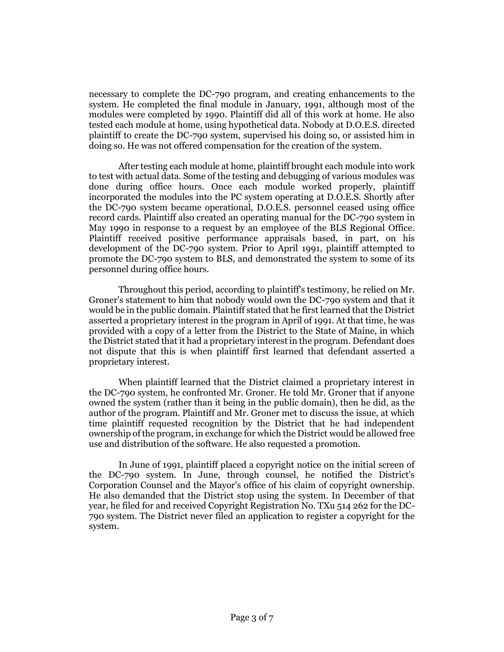necessary to complete the DC-790 program, and creating enhancements to the system. He completed the final module in January, 1991, although most of the modules were completed by 1990. Plaintiff did all of this work at home. He also tested each module at home, using hypothetical data. Nobody at D.O.E.S. directed plaintiff to create the DC-790 system, supervised his doing so, or assisted him in doing so. He was not offered compensation for the creation of the system.

After testing each module at home, plaintiff brought each module into work to test with actual data. Some of the testing and debugging of various modules was done during office hours. Once each module worked properly, plaintiff incorporated the modules into the PC system operating at D.O.E.S. Shortly after the DC-790 system became operational, D.O.E.S. personnel ceased using office record cards. Plaintiff also created an operating manual for the DC-790 system in May 1990 in response to a request by an employee of the BLS Regional Office. Plaintiff received positive performance appraisals based, in part, on his development of the DC-790 system. Prior to April 1991, plaintiff attempted to promote the DC-790 system to BLS, and demonstrated the system to some of its personnel during office hours.

Throughout this period, according to plaintiff's testimony, he relied on Mr. Groner's statement to him that nobody would own the DC-790 system and that it would be in the public domain. Plaintiff stated that he first learned that the District asserted a proprietary interest in the program in April of 1991. At that time, he was provided with a copy of a letter from the District to the State of Maine, in which the District stated that it had a proprietary interest in the program. Defendant does not dispute that this is when plaintiff first learned that defendant asserted a proprietary interest.

When plaintiff learned that the District claimed a proprietary interest in the DC-790 system, he confronted Mr. Groner. He told Mr. Groner that if anyone owned the system (rather than it being in the public domain), then he did, as the author of the program. Plaintiff and Mr. Groner met to discuss the issue, at which time plaintiff requested recognition by the District that he had independent ownership of the program, in exchange for which the District would be allowed free use and distribution of the software. He also requested a promotion.

In June of 1991, plaintiff placed a copyright notice on the initial screen of the DC-790 system. In June, through counsel, he notified the District's Corporation Counsel and the Mayor's office of his claim of copyright ownership. He also demanded that the District stop using the system. In December of that year, he filed for and received Copyright Registration No. TXu 514 262 for the DC-790 system. The District never filed an application to register a copyright for the system.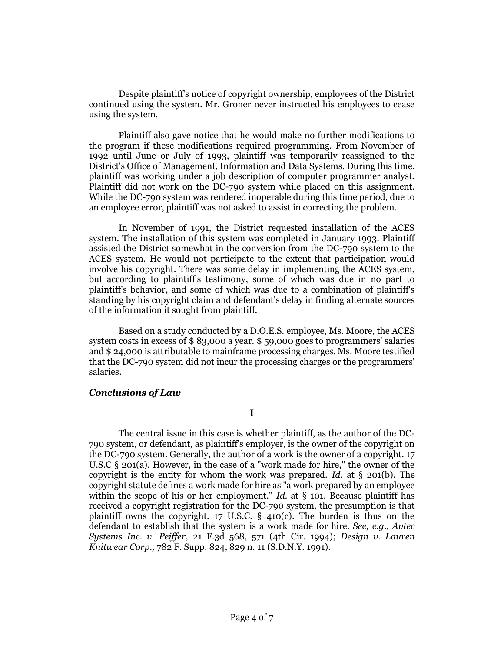Despite plaintiff's notice of copyright ownership, employees of the District continued using the system. Mr. Groner never instructed his employees to cease using the system.

Plaintiff also gave notice that he would make no further modifications to the program if these modifications required programming. From November of 1992 until June or July of 1993, plaintiff was temporarily reassigned to the District's Office of Management, Information and Data Systems. During this time, plaintiff was working under a job description of computer programmer analyst. Plaintiff did not work on the DC-790 system while placed on this assignment. While the DC-790 system was rendered inoperable during this time period, due to an employee error, plaintiff was not asked to assist in correcting the problem.

In November of 1991, the District requested installation of the ACES system. The installation of this system was completed in January 1993. Plaintiff assisted the District somewhat in the conversion from the DC-790 system to the ACES system. He would not participate to the extent that participation would involve his copyright. There was some delay in implementing the ACES system, but according to plaintiff's testimony, some of which was due in no part to plaintiff's behavior, and some of which was due to a combination of plaintiff's standing by his copyright claim and defendant's delay in finding alternate sources of the information it sought from plaintiff.

Based on a study conducted by a D.O.E.S. employee, Ms. Moore, the ACES system costs in excess of \$ 83,000 a year. \$ 59,000 goes to programmers' salaries and \$ 24,000 is attributable to mainframe processing charges. Ms. Moore testified that the DC-790 system did not incur the processing charges or the programmers' salaries.

#### *Conclusions of Law*

**I**

The central issue in this case is whether plaintiff, as the author of the DC-790 system, or defendant, as plaintiff's employer, is the owner of the copyright on the DC-790 system. Generally, the author of a work is the owner of a copyright. 17 U.S.C § 201(a). However, in the case of a "work made for hire," the owner of the copyright is the entity for whom the work was prepared. *Id.* at § 201(b). The copyright statute defines a work made for hire as "a work prepared by an employee within the scope of his or her employment." *Id.* at § 101. Because plaintiff has received a copyright registration for the DC-790 system, the presumption is that plaintiff owns the copyright.  $17 \text{ U.S.C. }$  §  $410 \text{ (c)}$ . The burden is thus on the defendant to establish that the system is a work made for hire. *See, e.g., Avtec Systems Inc. v. Peiffer,* 21 F.3d 568, 571 (4th Cir. 1994); *Design v. Lauren Knitwear Corp.,* 782 F. Supp. 824, 829 n. 11 (S.D.N.Y. 1991).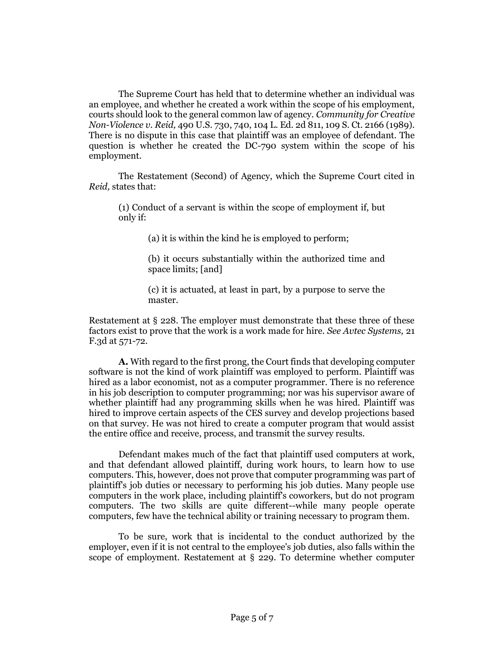The Supreme Court has held that to determine whether an individual was an employee, and whether he created a work within the scope of his employment, courts should look to the general common law of agency. *Community for Creative Non-Violence v. Reid,* 490 U.S. 730, 740, 104 L. Ed. 2d 811, 109 S. Ct. 2166 (1989). There is no dispute in this case that plaintiff was an employee of defendant. The question is whether he created the DC-790 system within the scope of his employment.

The Restatement (Second) of Agency, which the Supreme Court cited in *Reid,* states that:

(1) Conduct of a servant is within the scope of employment if, but only if:

(a) it is within the kind he is employed to perform;

(b) it occurs substantially within the authorized time and space limits; [and]

(c) it is actuated, at least in part, by a purpose to serve the master.

Restatement at § 228. The employer must demonstrate that these three of these factors exist to prove that the work is a work made for hire. *See Avtec Systems,* 21 F.3d at 571-72.

**A.** With regard to the first prong, the Court finds that developing computer software is not the kind of work plaintiff was employed to perform. Plaintiff was hired as a labor economist, not as a computer programmer. There is no reference in his job description to computer programming; nor was his supervisor aware of whether plaintiff had any programming skills when he was hired. Plaintiff was hired to improve certain aspects of the CES survey and develop projections based on that survey. He was not hired to create a computer program that would assist the entire office and receive, process, and transmit the survey results.

Defendant makes much of the fact that plaintiff used computers at work, and that defendant allowed plaintiff, during work hours, to learn how to use computers. This, however, does not prove that computer programming was part of plaintiff's job duties or necessary to performing his job duties. Many people use computers in the work place, including plaintiff's coworkers, but do not program computers. The two skills are quite different--while many people operate computers, few have the technical ability or training necessary to program them.

To be sure, work that is incidental to the conduct authorized by the employer, even if it is not central to the employee's job duties, also falls within the scope of employment. Restatement at § 229. To determine whether computer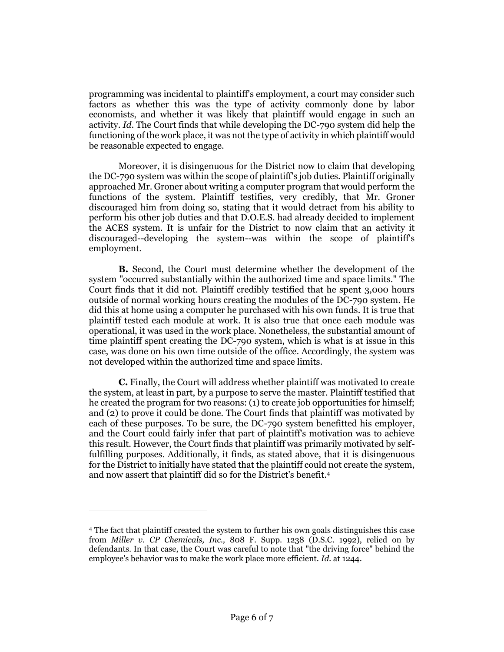programming was incidental to plaintiff's employment, a court may consider such factors as whether this was the type of activity commonly done by labor economists, and whether it was likely that plaintiff would engage in such an activity. *Id.* The Court finds that while developing the DC-790 system did help the functioning of the work place, it was not the type of activity in which plaintiff would be reasonable expected to engage.

Moreover, it is disingenuous for the District now to claim that developing the DC-790 system was within the scope of plaintiff's job duties. Plaintiff originally approached Mr. Groner about writing a computer program that would perform the functions of the system. Plaintiff testifies, very credibly, that Mr. Groner discouraged him from doing so, stating that it would detract from his ability to perform his other job duties and that D.O.E.S. had already decided to implement the ACES system. It is unfair for the District to now claim that an activity it discouraged--developing the system--was within the scope of plaintiff's employment.

**B.** Second, the Court must determine whether the development of the system "occurred substantially within the authorized time and space limits." The Court finds that it did not. Plaintiff credibly testified that he spent 3,000 hours outside of normal working hours creating the modules of the DC-790 system. He did this at home using a computer he purchased with his own funds. It is true that plaintiff tested each module at work. It is also true that once each module was operational, it was used in the work place. Nonetheless, the substantial amount of time plaintiff spent creating the DC-790 system, which is what is at issue in this case, was done on his own time outside of the office. Accordingly, the system was not developed within the authorized time and space limits.

**C.** Finally, the Court will address whether plaintiff was motivated to create the system, at least in part, by a purpose to serve the master. Plaintiff testified that he created the program for two reasons: (1) to create job opportunities for himself; and (2) to prove it could be done. The Court finds that plaintiff was motivated by each of these purposes. To be sure, the DC-790 system benefitted his employer, and the Court could fairly infer that part of plaintiff's motivation was to achieve this result. However, the Court finds that plaintiff was primarily motivated by selffulfilling purposes. Additionally, it finds, as stated above, that it is disingenuous for the District to initially have stated that the plaintiff could not create the system, and now assert that plaintiff did so for the District's benefit.<sup>4</sup>

 $\overline{a}$ 

<sup>4</sup> The fact that plaintiff created the system to further his own goals distinguishes this case from *Miller v. CP Chemicals, Inc.,* 808 F. Supp. 1238 (D.S.C. 1992), relied on by defendants. In that case, the Court was careful to note that "the driving force" behind the employee's behavior was to make the work place more efficient. *Id.* at 1244.